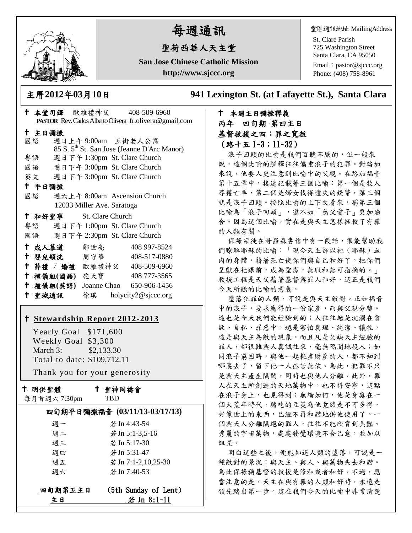

# 每週通訊

## 聖荷西華人天主堂

**San Jose Chinese Catholic Mission http://www.sjccc.org**

堂區通訊地址 MailingAddress

St. Clare Parish 725 Washington Street Santa Clara, CA 95050

Email: [pastor@sjccc.org](mailto:pastor@sjccc.org) Phone: (408) 758-8961

主曆**2012**年**03**月**10**日 **941 Lexington St. (at Lafayette St.), Santa Clara** 

## 本堂司鐸 歐維禮神父 408-509-6960 **PASTOR** Rev. Carlos Alberto Olivera fr.olivera@gmail.com 主日彌撒 國語 週日上午 9:00am 五街老人公寓 85 S. 5th St. San Jose (Jeanne D'Arc Manor) 粵語 週日下午 1:30pm St. Clare Church 國語 週日下午 3:00pm St. Clare Church 英文 週日下午 3:00pm St. Clare Church 平日彌撒 國語 週六上午 8:00am Ascension Church 12033 Miller Ave. Saratoga 和好聖事 St. Clare Church 粵語 週日下午 1:00pm St. Clare Church 國語 週日下午 2:30pm St. Clare Church 十成人慕道 鄒世亮 408 997-8524 十 嬰兒領洗 周守華 408-517-0880 葬禮 / 婚禮 歐維禮神父 408-509-6960 禮儀組**(**國語**)** 施天寶 408 777-3565 禮儀組**(**英語**)** Joanne Chao 650-906-1456 聖城通訊 徐琪 holycity2@sjccc.org

## **[Stewardship Report 2012-2013](http://sjccc.org/index.php/finance.html?src=bulletin112512)**

 Yearly Goal \$171,600 Weekly Goal \$3,300 March 3: \$2,133.30 Total to date: \$109,712.11

Thank you for your generosity

## 十 明供聖體

聖神同禱會

| 每月首週六7:30pm |  |
|-------------|--|
|-------------|--|

TBD

## 四旬期平日彌撒福音 **(03/11/13-03/17/13)** 週一 若Jn 4:43-54

| 週二 | 若 Jn 5:1-3,5-16     |
|----|---------------------|
| 週三 | 若 Jn 5:17-30        |
| 调四 | 若 Jn 5:31-47        |
| 週五 | 若 Jn 7:1-2,10.25-30 |
| 调六 | 若 Jn 7:40-53        |
|    |                     |

| 四旬期第五主日 | (5th Sunday of Lent) |
|---------|----------------------|
| 主日      | 若 Jn 8:1-11          |

## 本週主日彌撒釋義 丙年 四旬期 第四主日 基督救援之四:罪之寬赦 (路十五 1~3;11~32)

浪子回頭的比喻是我們百聽不厭的,但一般來 說,這個比喻的解釋往往偏重浪子的犯罪。對路加 來說,他要人更注意到比喻中的父親。在路加福音 第十五章中,接連記載著三個比喻:第一個是牧人 尋獲亡羊,第二個是婦女找得遺失的錢幣,第三個 就是浪子回頭。按照比喻的上下文看來,稱第三個 比喻為「浪子回頭」,還不如「慈父愛子」更加適 合。因為這個比喻,實在是與天主怎樣拯救了有罪 的人類有關。

保祿宗徒在哥羅森書信中有一段話,很能幫助我 們瞭解耶穌的比喻:「現今天主卻以祂(耶穌)血 肉的身體,藉著死亡使你們與自己和好了,把你們 呈獻在祂跟前,成為聖潔,無瑕和無可指摘的。」 救援工程是天父藉著基督與罪人和好,這正是我們 今天所聽的比喻的意義。

墮落犯罪的人類,可說是與天主敵對。正如福音 中的浪子,要求應得的一份家產,而與父親分離。 這也是今天我們能經驗到的;人往往越是沉溺在貪 欲、自私、罪惡中,越是害怕真理、純潔、犧牲, 這是與天主為敵的現象。而且凡是欠缺天主經驗的 罪人,都很難與人真誠往來,毫無隔閡地投入;如 同浪子窮困時,與他一起耗盡財產的人,都不知到 哪裏去了,留下他一人孤苦無依。為此,犯罪不只 是與天主產生隔閡,同時也與他人分離。此外,罪 人在天主所創造的天地萬物中,也不得安寧,這點 在浪子身上,也見得到;無論如何,他是身處在一 個大荒年時代,豬吃的豆莢為他竟然是不可多得, 好像世上的東西,已經不再和諧地供他使用了。一 個與天人分離隔絕的罪人,往往不能欣賞到美豔、 秀麗的宇宙萬物,處處發覺環境不合己意,並加以 詛咒。

明白這些之後,便能知道人類的墮落,可說是一 種敵對的景況:與天主、與人、與萬物失去和諧。 為此保祿稱基督的救援是修和或者和好。不過,應 當注意的是,天主在與有罪的人類和好時,永遠是 領先踏出第一步。這在我們今天的比喻中非常清楚